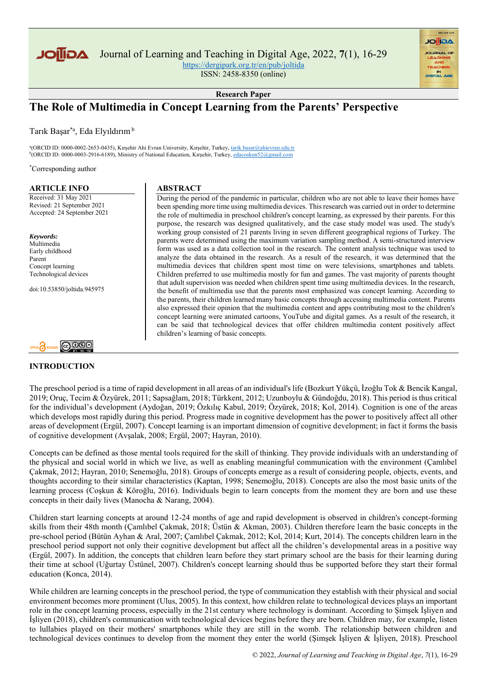

Journal of Learning and Teaching in Digital Age, 2022, **7**(1), 16-29

<https://dergipark.org.tr/en/pub/joltida>

ISSN: 2458-8350 (online)

**Research Paper**

# **The Role of Multimedia in Concept Learning from the Parents' Perspective**

Tarık Başar\*a, Eda Elyıldırım<sup>b</sup>

<sup>a</sup>(ORCID ID: 0000-0002-2653-0435), Kırşehir Ahi Evran University, Kırşehir, Turkey, <u>tarik.basar@ahievran.edu.tr</u><br><sup>b</sup>(ORCID ID: 0000-0003-2916-6189), Ministry of National Education, Kırşehir, Turkey, <u>edacoskun52@gmail.co</u>

\*Corresponding author

#### **ARTICLE INFO**

Received: 31 May 2021 Revised: 21 September 2021 Accepted: 24 September 2021

*Keywords:* Multimedia Early childhood Parent Concept learning Technological devices

doi:10.53850/joltida.945975



#### **INTRODUCTION**

#### **ABSTRACT**

During the period of the pandemic in particular, children who are not able to leave their homes have been spending more time using multimedia devices. This research was carried out in order to determine the role of multimedia in preschool children's concept learning, as expressed by their parents. For this purpose, the research was designed qualitatively, and the case study model was used. The study's working group consisted of 21 parents living in seven different geographical regions of Turkey. The parents were determined using the maximum variation sampling method. A semi-structured interview form was used as a data collection tool in the research. The content analysis technique was used to analyze the data obtained in the research. As a result of the research, it was determined that the multimedia devices that children spent most time on were televisions, smartphones and tablets. Children preferred to use multimedia mostly for fun and games. The vast majority of parents thought that adult supervision was needed when children spent time using multimedia devices. In the research, the benefit of multimedia use that the parents most emphasized was concept learning. According to the parents, their children learned many basic concepts through accessing multimedia content. Parents also expressed their opinion that the multimedia content and apps contributing most to the children's concept learning were animated cartoons, YouTube and digital games. As a result of the research, it can be said that technological devices that offer children multimedia content positively affect children's learning of basic concepts.

**AGIIOL** 

The preschool period is a time of rapid development in all areas of an individual's life (Bozkurt Yükçü, İzoğlu Tok & Bencik Kangal, 2019; Oruç, Tecim & Özyürek, 2011; Sapsağlam, 2018; Türkkent, 2012; Uzunboylu & Gündoğdu, 2018). This period is thus critical for the individual's development (Aydoğan, 2019; Özkılıç Kabul, 2019; Özyürek, 2018; Kol, 2014). Cognition is one of the areas which develops most rapidly during this period. Progress made in cognitive development has the power to positively affect all other areas of development (Ergül, 2007). Concept learning is an important dimension of cognitive development; in fact it forms the basis of cognitive development (Avşalak, 2008; Ergül, 2007; Hayran, 2010).

Concepts can be defined as those mental tools required for the skill of thinking. They provide individuals with an understanding of the physical and social world in which we live, as well as enabling meaningful communication with the environment (Çamlıbel Çakmak, 2012; Hayran, 2010; Senemoğlu, 2018). Groups of concepts emerge as a result of considering people, objects, events, and thoughts according to their similar characteristics (Kaptan, 1998; Senemoğlu, 2018). Concepts are also the most basic units of the learning process (Coşkun & Köroğlu, 2016). Individuals begin to learn concepts from the moment they are born and use these concepts in their daily lives (Manocha & Narang, 2004).

Children start learning concepts at around 12-24 months of age and rapid development is observed in children's concept-forming skills from their 48th month (Çamlıbel Çakmak, 2018; Üstün & Akman, 2003). Children therefore learn the basic concepts in the pre-school period (Bütün Ayhan & Aral, 2007; Çamlıbel Çakmak, 2012; Kol, 2014; Kurt, 2014). The concepts children learn in the preschool period support not only their cognitive development but affect all the children's developmental areas in a positive way (Ergül, 2007). In addition, the concepts that children learn before they start primary school are the basis for their learning during their time at school (Uğurtay Üstünel, 2007). Children's concept learning should thus be supported before they start their formal education (Konca, 2014).

While children are learning concepts in the preschool period, the type of communication they establish with their physical and social environment becomes more prominent (Ulus, 2005). In this context, how children relate to technological devices plays an important role in the concept learning process, especially in the 21st century where technology is dominant. According to Şimşek İşliyen and İşliyen (2018), children's communication with technological devices begins before they are born. Children may, for example, listen to lullabies played on their mothers' smartphones while they are still in the womb. The relationship between children and technological devices continues to develop from the moment they enter the world (Şimşek İşliyen & İşliyen, 2018). Preschool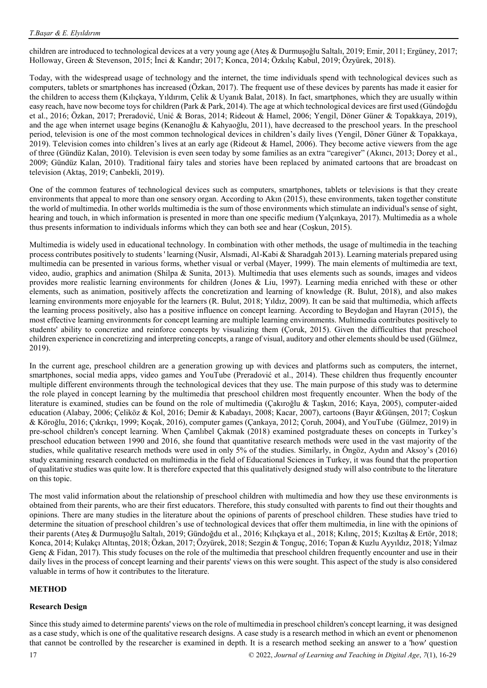children are introduced to technological devices at a very young age (Ateş & Durmuşoğlu Saltalı, 2019; Emir, 2011; Ergüney, 2017; Holloway, Green & Stevenson, 2015; İnci & Kandır; 2017; Konca, 2014; Özkılıç Kabul, 2019; Özyürek, 2018).

Today, with the widespread usage of technology and the internet, the time individuals spend with technological devices such as computers, tablets or smartphones has increased (Özkan, 2017). The frequent use of these devices by parents has made it easier for the children to access them (Kılıçkaya, Yıldırım, Çelik & Uyanık Balat, 2018). In fact, smartphones, which they are usually within easy reach, have now become toys for children (Park & Park, 2014). The age at which technological devices are first used (Gündoğdu et al., 2016; Özkan, 2017; Preradović, Unić & Boras, 2014; Rideout & Hamel, 2006; Yengil, Döner Güner & Topakkaya, 2019), and the age when internet usage begins (Kenanoğlu & Kahyaoğlu, 2011), have decreased to the preschool years. In the preschool period, television is one of the most common technological devices in children's daily lives (Yengil, Döner Güner & Topakkaya, 2019). Television comes into children's lives at an early age (Rideout & Hamel, 2006). They become active viewers from the age of three (Gündüz Kalan, 2010). Television is even seen today by some families as an extra "caregiver" (Akıncı, 2013; Dorey et al., 2009; Gündüz Kalan, 2010). Traditional fairy tales and stories have been replaced by animated cartoons that are broadcast on television (Aktaş, 2019; Canbekli, 2019).

One of the common features of technological devices such as computers, smartphones, tablets or televisions is that they create environments that appeal to more than one sensory organ. According to Akın (2015), these environments, taken together constitute the world of multimedia. In other worlds multimedia is the sum of those environments which stimulate an individual's sense of sight, hearing and touch, in which information is presented in more than one specific medium (Yalçınkaya, 2017). Multimedia as a whole thus presents information to individuals informs which they can both see and hear (Coşkun, 2015).

Multimedia is widely used in educational technology. In combination with other methods, the usage of multimedia in the teaching process contributes positively to students ' learning (Nusir, Alsmadi, Al-Kabi & Sharadgah 2013). Learning materials prepared using multimedia can be presented in various forms, whether visual or verbal (Mayer, 1999). The main elements of multimedia are text, video, audio, graphics and animation (Shilpa & Sunita, 2013). Multimedia that uses elements such as sounds, images and videos provides more realistic learning environments for children (Jones & Liu, 1997). Learning media enriched with these or other elements, such as animation, positively affects the concretization and learning of knowledge (R. Bulut, 2018), and also makes learning environments more enjoyable for the learners (R. Bulut, 2018; Yıldız, 2009). It can be said that multimedia, which affects the learning process positively, also has a positive influence on concept learning. According to Beydoğan and Hayran (2015), the most effective learning environments for concept learning are multiple learning environments. Multimedia contributes positively to students' ability to concretize and reinforce concepts by visualizing them (Çoruk, 2015). Given the difficulties that preschool children experience in concretizing and interpreting concepts, a range of visual, auditory and other elements should be used (Gülmez, 2019).

In the current age, preschool children are a generation growing up with devices and platforms such as computers, the internet, smartphones, social media apps, video games and YouTube (Preradović et al., 2014). These children thus frequently encounter multiple different environments through the technological devices that they use. The main purpose of this study was to determine the role played in concept learning by the multimedia that preschool children most frequently encounter. When the body of the literature is examined, studies can be found on the role of multimedia (Çakıroğlu & Taşkın, 2016; Kaya, 2005), computer-aided education (Alabay, 2006; Çeliköz & Kol, 2016; Demir & Kabadayı, 2008; Kacar, 2007), cartoons (Bayır &Günşen, 2017; Coşkun & Köroğlu, 2016; Çıkrıkçı, 1999; Koçak, 2016), computer games (Çankaya, 2012; Çoruh, 2004), and YouTube (Gülmez, 2019) in pre-school children's concept learning. When Çamlıbel Çakmak (2018) examined postgraduate theses on concepts in Turkey's preschool education between 1990 and 2016, she found that quantitative research methods were used in the vast majority of the studies, while qualitative research methods were used in only 5% of the studies. Similarly, in Öngöz, Aydın and Aksoy's (2016) study examining research conducted on multimedia in the field of Educational Sciences in Turkey, it was found that the proportion of qualitative studies was quite low. It is therefore expected that this qualitatively designed study will also contribute to the literature on this topic.

The most valid information about the relationship of preschool children with multimedia and how they use these environments is obtained from their parents, who are their first educators. Therefore, this study consulted with parents to find out their thoughts and opinions. There are many studies in the literature about the opinions of parents of preschool children. These studies have tried to determine the situation of preschool children's use of technological devices that offer them multimedia, in line with the opinions of their parents (Ateş & Durmuşoğlu Saltalı, 2019; Gündoğdu et al., 2016; Kılıçkaya et al., 2018; Kılınç, 2015; Kızıltaş & Ertör, 2018; Konca, 2014; Kulakçı Altıntaş, 2018; Özkan, 2017; Özyürek, 2018; Sezgin & Tonguç, 2016; Topan & Kuzlu Ayyıldız, 2018; Yılmaz Genc  $\&$  Fidan, 2017). This study focuses on the role of the multimedia that preschool children frequently encounter and use in their daily lives in the process of concept learning and their parents' views on this were sought. This aspect of the study is also considered valuable in terms of how it contributes to the literature.

#### **METHOD**

#### **Research Design**

Since this study aimed to determine parents' views on the role of multimedia in preschool children's concept learning, it was designed as a case study, which is one of the qualitative research designs. A case study is a research method in which an event or phenomenon that cannot be controlled by the researcher is examined in depth. It is a research method seeking an answer to a 'how' question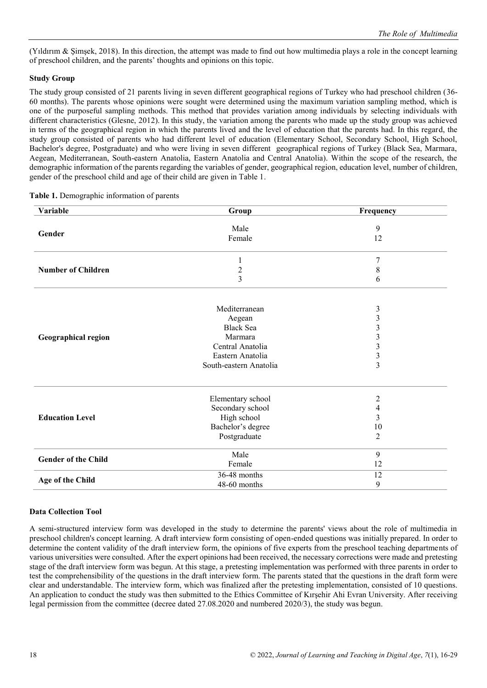(Yıldırım & Şimşek, 2018). In this direction, the attempt was made to find out how multimedia plays a role in the concept learning of preschool children, and the parents' thoughts and opinions on this topic.

## **Study Group**

The study group consisted of 21 parents living in seven different geographical regions of Turkey who had preschool children (36- 60 months). The parents whose opinions were sought were determined using the maximum variation sampling method, which is one of the purposeful sampling methods. This method that provides variation among individuals by selecting individuals with different characteristics (Glesne, 2012). In this study, the variation among the parents who made up the study group was achieved in terms of the geographical region in which the parents lived and the level of education that the parents had. In this regard, the study group consisted of parents who had different level of education (Elementary School, Secondary School, High School, Bachelor's degree, Postgraduate) and who were living in seven different geographical regions of Turkey (Black Sea, Marmara, Aegean, Mediterranean, South-eastern Anatolia, Eastern Anatolia and Central Anatolia). Within the scope of the research, the demographic information of the parents regarding the variables of gender, geographical region, education level, number of children, gender of the preschool child and age of their child are given in Table 1.

| Variable                   | Group                  | Frequency               |
|----------------------------|------------------------|-------------------------|
|                            | Male                   | 9                       |
| Gender                     | Female                 | 12                      |
|                            |                        |                         |
|                            | 1                      | 7                       |
| <b>Number of Children</b>  |                        | $\,$ 8 $\,$             |
|                            | $\frac{2}{3}$          | 6                       |
|                            |                        |                         |
|                            | Mediterranean          | 3                       |
|                            | Aegean                 | $\mathfrak{Z}$          |
|                            | <b>Black Sea</b>       | $\overline{\mathbf{3}}$ |
| Geographical region        | Marmara                | $\overline{\mathbf{3}}$ |
|                            | Central Anatolia       | $\overline{\mathbf{3}}$ |
|                            | Eastern Anatolia       | 3                       |
|                            | South-eastern Anatolia | $\overline{3}$          |
|                            |                        |                         |
|                            | Elementary school      | $\overline{2}$          |
|                            | Secondary school       | 4                       |
| <b>Education Level</b>     | High school            | 3                       |
|                            | Bachelor's degree      | 10                      |
|                            | Postgraduate           | $\overline{2}$          |
| <b>Gender of the Child</b> | Male                   | 9                       |
|                            | Female                 | 12                      |
|                            | 36-48 months           | 12                      |
| Age of the Child           | 48-60 months           | 9                       |

## **Table 1.** Demographic information of parents

#### **Data Collection Tool**

A semi-structured interview form was developed in the study to determine the parents' views about the role of multimedia in preschool children's concept learning. A draft interview form consisting of open-ended questions was initially prepared. In order to determine the content validity of the draft interview form, the opinions of five experts from the preschool teaching departments of various universities were consulted. After the expert opinions had been received, the necessary corrections were made and pretesting stage of the draft interview form was begun. At this stage, a pretesting implementation was performed with three parents in order to test the comprehensibility of the questions in the draft interview form. The parents stated that the questions in the draft form were clear and understandable. The interview form, which was finalized after the pretesting implementation, consisted of 10 questions. An application to conduct the study was then submitted to the Ethics Committee of Kırşehir Ahi Evran University. After receiving legal permission from the committee (decree dated 27.08.2020 and numbered 2020/3), the study was begun.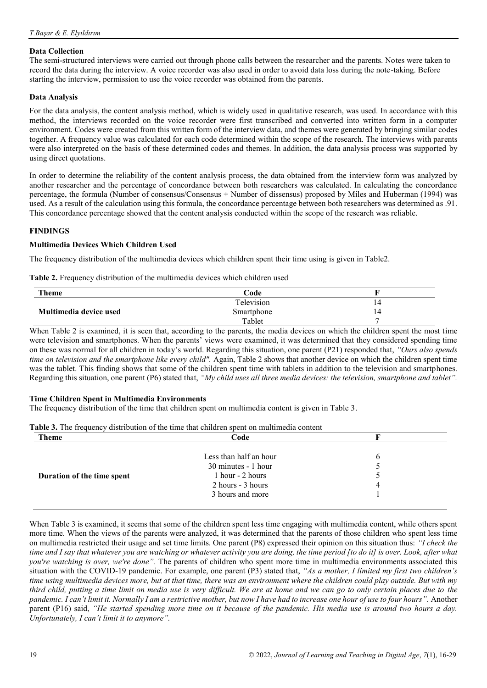## **Data Collection**

The semi-structured interviews were carried out through phone calls between the researcher and the parents. Notes were taken to record the data during the interview. A voice recorder was also used in order to avoid data loss during the note-taking. Before starting the interview, permission to use the voice recorder was obtained from the parents.

#### **Data Analysis**

For the data analysis, the content analysis method, which is widely used in qualitative research, was used. In accordance with this method, the interviews recorded on the voice recorder were first transcribed and converted into written form in a computer environment. Codes were created from this written form of the interview data, and themes were generated by bringing similar codes together. A frequency value was calculated for each code determined within the scope of the research. The interviews with parents were also interpreted on the basis of these determined codes and themes. In addition, the data analysis process was supported by using direct quotations.

In order to determine the reliability of the content analysis process, the data obtained from the interview form was analyzed by another researcher and the percentage of concordance between both researchers was calculated. In calculating the concordance percentage, the formula (Number of consensus/Consensus + Number of dissensus) proposed by Miles and Huberman (1994) was used. As a result of the calculation using this formula, the concordance percentage between both researchers was determined as .91. This concordance percentage showed that the content analysis conducted within the scope of the research was reliable.

# **FINDINGS**

## **Multimedia Devices Which Children Used**

The frequency distribution of the multimedia devices which children spent their time using is given in Table2.

**Table 2.** Frequency distribution of the multimedia devices which children used

| <b>Theme</b>           | Code       |    |
|------------------------|------------|----|
|                        | Television | 14 |
| Multimedia device used | Smartphone | 14 |
|                        | Tablet     |    |

When Table 2 is examined, it is seen that, according to the parents, the media devices on which the children spent the most time were television and smartphones. When the parents' views were examined, it was determined that they considered spending time on these was normal for all children in today's world. Regarding this situation, one parent (P21) responded that, *"Ours also spends time on television and the smartphone like every child".* Again, Table 2 shows that another device on which the children spent time was the tablet. This finding shows that some of the children spent time with tablets in addition to the television and smartphones. Regarding this situation, one parent (P6) stated that, *"My child uses all three media devices: the television, smartphone and tablet".* 

#### **Time Children Spent in Multimedia Environments**

The frequency distribution of the time that children spent on multimedia content is given in Table 3.

| <b>Table 3.</b> The frequency distribution of the time that children spent on multimedia content |                        |  |
|--------------------------------------------------------------------------------------------------|------------------------|--|
| <b>Theme</b>                                                                                     | Code                   |  |
|                                                                                                  |                        |  |
|                                                                                                  | Less than half an hour |  |

|                            | Less than half an hour | <sub>0</sub>          |
|----------------------------|------------------------|-----------------------|
|                            | 30 minutes - 1 hour    |                       |
| Duration of the time spent | 1 hour - 2 hours       | $\tilde{\phantom{1}}$ |
|                            | 2 hours - 3 hours      | 4                     |
|                            | 3 hours and more       |                       |
|                            |                        |                       |

When Table 3 is examined, it seems that some of the children spent less time engaging with multimedia content, while others spent more time. When the views of the parents were analyzed, it was determined that the parents of those children who spent less time on multimedia restricted their usage and set time limits. One parent (P8) expressed their opinion on this situation thus: *"I check the time and I say that whatever you are watching or whatever activity you are doing, the time period [to do it] is over. Look, after what you're watching is over, we're done".* The parents of children who spent more time in multimedia environments associated this situation with the COVID-19 pandemic. For example, one parent (P3) stated that, *"As a mother, I limited my first two children's time using multimedia devices more, but at that time, there was an environment where the children could play outside. But with my third child, putting a time limit on media use is very difficult. We are at home and we can go to only certain places due to the pandemic. I can't limit it. Normally I am a restrictive mother, but now I have had to increase one hour of use to four hours".* Another parent (P16) said, *"He started spending more time on it because of the pandemic. His media use is around two hours a day. Unfortunately, I can't limit it to anymore".*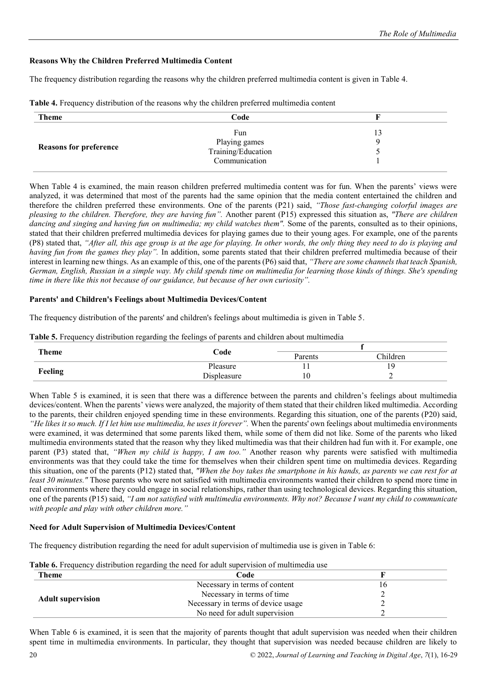# **Reasons Why the Children Preferred Multimedia Content**

The frequency distribution regarding the reasons why the children preferred multimedia content is given in Table 4.

| <b>Theme</b>                  | Code               |  |
|-------------------------------|--------------------|--|
| <b>Reasons for preference</b> | Fun                |  |
|                               | Playing games      |  |
|                               | Training/Education |  |
|                               | Communication      |  |
|                               |                    |  |

**Table 4.** Frequency distribution of the reasons why the children preferred multimedia content

When Table 4 is examined, the main reason children preferred multimedia content was for fun. When the parents' views were analyzed, it was determined that most of the parents had the same opinion that the media content entertained the children and therefore the children preferred these environments. One of the parents (P21) said, *"Those fast-changing colorful images are pleasing to the children. Therefore, they are having fun".* Another parent (P15) expressed this situation as, *"There are children dancing and singing and having fun on multimedia; my child watches them"*. Some of the parents, consulted as to their opinions, stated that their children preferred multimedia devices for playing games due to their young ages. For example, one of the parents (P8) stated that, *"After all, this age group is at the age for playing. In other words, the only thing they need to do is playing and having fun from the games they play".* In addition, some parents stated that their children preferred multimedia because of their interest in learning new things. As an example of this, one of the parents (P6) said that, *"There are some channels that teach Spanish, German, English, Russian in a simple way. My child spends time on multimedia for learning those kinds of things. She's spending time in there like this not because of our guidance, but because of her own curiosity".*

## **Parents' and Children's Feelings about Multimedia Devices/Content**

The frequency distribution of the parents' and children's feelings about multimedia is given in Table 5.

| <b>Theme</b> | Code        | Parents | Children |
|--------------|-------------|---------|----------|
| Feeling      | Pleasure    |         |          |
|              | Displeasure |         |          |

**Table 5.** Frequency distribution regarding the feelings of parents and children about multimedia

When Table 5 is examined, it is seen that there was a difference between the parents and children's feelings about multimedia devices/content. When the parents' views were analyzed, the majority of them stated that their children liked multimedia. According to the parents, their children enjoyed spending time in these environments. Regarding this situation, one of the parents (P20) said, *"He likes it so much. If I let him use multimedia, he uses it forever"*. When the parents' own feelings about multimedia environments were examined, it was determined that some parents liked them, while some of them did not like. Some of the parents who liked multimedia environments stated that the reason why they liked multimedia was that their children had fun with it. For example, one parent (P3) stated that, *"When my child is happy, I am too."* Another reason why parents were satisfied with multimedia environments was that they could take the time for themselves when their children spent time on multimedia devices. Regarding this situation, one of the parents (P12) stated that, *"When the boy takes the smartphone in his hands, as parents we can rest for at least 30 minutes."* Those parents who were not satisfied with multimedia environments wanted their children to spend more time in real environments where they could engage in social relationships, rather than using technological devices. Regarding this situation, one of the parents (P15) said, *"I am not satisfied with multimedia environments. Why not? Because I want my child to communicate with people and play with other children more."*

# **Need for Adult Supervision of Multimedia Devices/Content**

The frequency distribution regarding the need for adult supervision of multimedia use is given in Table 6:

| <b>able 6.</b> Frequency distribution regarding the need for adult supervision of multimedia use |                                    |  |  |
|--------------------------------------------------------------------------------------------------|------------------------------------|--|--|
| <b>Theme</b><br>Code                                                                             |                                    |  |  |
| <b>Adult supervision</b>                                                                         | Necessary in terms of content      |  |  |
|                                                                                                  | Necessary in terms of time         |  |  |
|                                                                                                  | Necessary in terms of device usage |  |  |
|                                                                                                  | No need for adult supervision      |  |  |

**Table 6.** Frequency distribution regarding the need for adult supervision of multimedia use

When Table 6 is examined, it is seen that the majority of parents thought that adult supervision was needed when their children spent time in multimedia environments. In particular, they thought that supervision was needed because children are likely to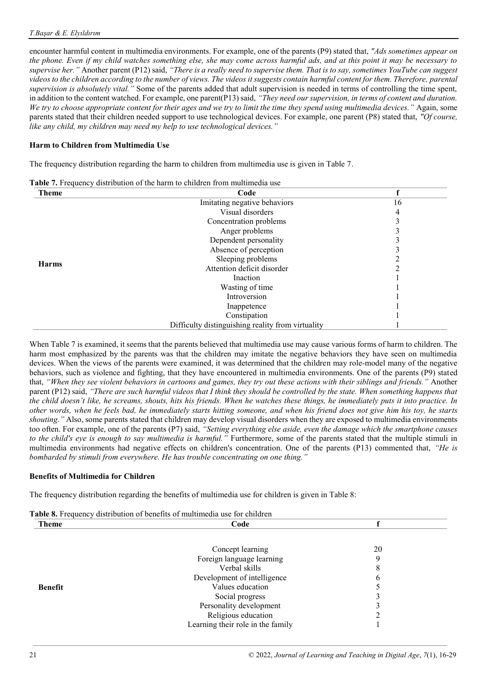encounter harmful content in multimedia environments. For example, one of the parents (P9) stated that, *"Ads sometimes appear on the phone. Even if my child watches something else, she may come across harmful ads, and at this point it may be necessary to supervise her."* Another parent (P12) said, *"There is a really need to supervise them. That is to say, sometimes YouTube can suggest videos to the children according to the number of views. The videos it suggests contain harmful content for them. Therefore, parental supervision is absolutely vital."* Some of the parents added that adult supervision is needed in terms of controlling the time spent, in addition to the content watched. For example, one parent(P13) said, *"They need our supervision, in terms of content and duration. We try to choose appropriate content for their ages and we try to limit the time they spend using multimedia devices."* Again, some parents stated that their children needed support to use technological devices. For example, one parent (P8) stated that, *"Of course, like any child, my children may need my help to use technological devices."*

# **Harm to Children from Multimedia Use**

The frequency distribution regarding the harm to children from multimedia use is given in Table 7.

| <b>Table 7.</b> Frequency distribution of the harm to children from multimedia use |  |  |  |
|------------------------------------------------------------------------------------|--|--|--|
|------------------------------------------------------------------------------------|--|--|--|

| <b>Theme</b> | Code                                              |    |
|--------------|---------------------------------------------------|----|
|              | Imitating negative behaviors                      | 16 |
|              | Visual disorders                                  |    |
|              | Concentration problems                            |    |
|              | Anger problems                                    |    |
|              | Dependent personality                             |    |
|              | Absence of perception                             |    |
|              | Sleeping problems                                 |    |
| <b>Harms</b> | Attention deficit disorder                        |    |
|              | Inaction                                          |    |
|              | Wasting of time                                   |    |
|              | Introversion                                      |    |
|              | Inappetence                                       |    |
|              | Constipation                                      |    |
|              | Difficulty distinguishing reality from virtuality |    |

When Table 7 is examined, it seems that the parents believed that multimedia use may cause various forms of harm to children. The harm most emphasized by the parents was that the children may imitate the negative behaviors they have seen on multimedia devices. When the views of the parents were examined, it was determined that the children may role-model many of the negative behaviors, such as violence and fighting, that they have encountered in multimedia environments. One of the parents (P9) stated that, *"When they see violent behaviors in cartoons and games, they try out these actions with their siblings and friends."* Another parent (P12) said, *"There are such harmful videos that I think they should be controlled by the state. When something happens that the child doesn't like, he screams, shouts, hits his friends. When he watches these things, he immediately puts it into practice. In other words, when he feels bad, he immediately starts hitting someone, and when his friend does not give him his toy, he starts shouting."* Also, some parents stated that children may develop visual disorders when they are exposed to multimedia environments too often. For example, one of the parents (P7) said, *"Setting everything else aside, even the damage which the smartphone causes to the child's eye is enough to say multimedia is harmful."* Furthermore, some of the parents stated that the multiple stimuli in multimedia environments had negative effects on children's concentration. One of the parents (P13) commented that, *"He is bombarded by stimuli from everywhere. He has trouble concentrating on one thing."*

# **Benefits of Multimedia for Children**

The frequency distribution regarding the benefits of multimedia use for children is given in Table 8:

| Theme          | Code                              |    |  |
|----------------|-----------------------------------|----|--|
|                |                                   |    |  |
|                | Concept learning                  | 20 |  |
|                | Foreign language learning         |    |  |
|                | Verbal skills                     | 8  |  |
|                | Development of intelligence       | 6  |  |
| <b>Benefit</b> | Values education                  |    |  |
|                | Social progress                   |    |  |
|                | Personality development           |    |  |
|                | Religious education               |    |  |
|                | Learning their role in the family |    |  |

# **Table 8.** Frequency distribution of benefits of multimedia use for children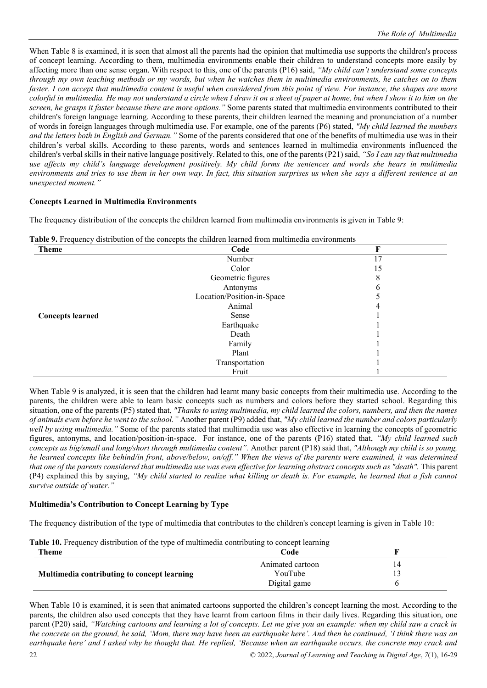When Table 8 is examined, it is seen that almost all the parents had the opinion that multimedia use supports the children's process of concept learning. According to them, multimedia environments enable their children to understand concepts more easily by affecting more than one sense organ. With respect to this, one of the parents (P16) said, *"My child can't understand some concepts through my own teaching methods or my words, but when he watches them in multimedia environments, he catches on to them faster. I can accept that multimedia content is useful when considered from this point of view. For instance, the shapes are more colorful in multimedia. He may not understand a circle when I draw it on a sheet of paper at home, but when I show it to him on the screen, he grasps it faster because there are more options."* Some parents stated that multimedia environments contributed to their children's foreign language learning. According to these parents, their children learned the meaning and pronunciation of a number of words in foreign languages through multimedia use. For example, one of the parents (P6) stated, *"My child learned the numbers and the letters both in English and German."* Some of the parents considered that one of the benefits of multimedia use was in their children's verbal skills. According to these parents, words and sentences learned in multimedia environments influenced the children's verbal skills in their native language positively. Related to this, one of the parents (P21) said, *"So I can say that multimedia use affects my child's language development positively. My child forms the sentences and words she hears in multimedia environments and tries to use them in her own way. In fact, this situation surprises us when she says a different sentence at an unexpected moment."*

## **Concepts Learned in Multimedia Environments**

The frequency distribution of the concepts the children learned from multimedia environments is given in Table 9:

| <b>Theme</b>            | Code                       | F  |
|-------------------------|----------------------------|----|
|                         | Number                     | 17 |
|                         | Color                      | 15 |
|                         | Geometric figures          |    |
|                         | Antonyms                   | h  |
|                         | Location/Position-in-Space |    |
|                         | Animal                     |    |
| <b>Concepts learned</b> | Sense                      |    |
|                         | Earthquake                 |    |
|                         | Death                      |    |
|                         | Family                     |    |
|                         | Plant                      |    |
|                         | Transportation             |    |
|                         | Fruit                      |    |

**Table 9.** Frequency distribution of the concepts the children learned from multimedia environments

When Table 9 is analyzed, it is seen that the children had learnt many basic concepts from their multimedia use. According to the parents, the children were able to learn basic concepts such as numbers and colors before they started school. Regarding this situation, one of the parents (P5) stated that, *"Thanks to using multimedia, my child learned the colors, numbers, and then the names of animals even before he went to the school."* Another parent (P9) added that, *"My child learned the number and colors particularly well by using multimedia."* Some of the parents stated that multimedia use was also effective in learning the concepts of geometric figures, antonyms, and location/position-in-space. For instance, one of the parents (P16) stated that, *"My child learned such concepts as big/small and long/short through multimedia content".* Another parent (P18) said that, *"Although my child is so young, he learned concepts like behind/in front, above/below, on/off." When the views of the parents were examined, it was determined that one of the parents considered that multimedia use was even effective for learning abstract concepts such as "death".* This parent (P4) explained this by saying, *"My child started to realize what killing or death is. For example, he learned that a fish cannot survive outside of water."*

#### **Multimedia's Contribution to Concept Learning by Type**

The frequency distribution of the type of multimedia that contributes to the children's concept learning is given in Table 10:

| <b>Table T0.</b> Frequency distribution of the type of multimedia contributing to concept learning |                  |    |  |  |
|----------------------------------------------------------------------------------------------------|------------------|----|--|--|
| Theme                                                                                              | Code             |    |  |  |
|                                                                                                    | Animated cartoon | 14 |  |  |
| Multimedia contributing to concept learning                                                        | YouTube          |    |  |  |
|                                                                                                    | Digital game     |    |  |  |

**Table 10.** Frequency distribution of the type of multimedia contributing to concept learning

When Table 10 is examined, it is seen that animated cartoons supported the children's concept learning the most. According to the parents, the children also used concepts that they have learnt from cartoon films in their daily lives. Regarding this situation, one parent (P20) said, *"Watching cartoons and learning a lot of concepts. Let me give you an example: when my child saw a crack in the concrete on the ground, he said, 'Mom, there may have been an earthquake here'. And then he continued, 'I think there was an earthquake here' and I asked why he thought that. He replied, 'Because when an earthquake occurs, the concrete may crack and*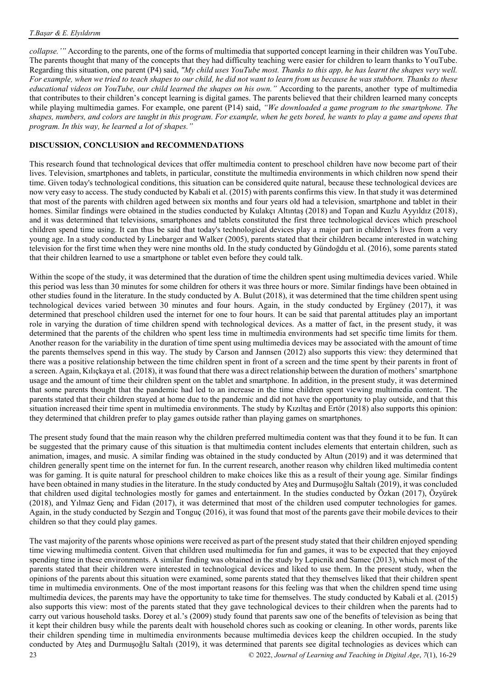*collapse.'"* According to the parents, one of the forms of multimedia that supported concept learning in their children was YouTube. The parents thought that many of the concepts that they had difficulty teaching were easier for children to learn thanks to YouTube. Regarding this situation, one parent (P4) said, *"My child uses YouTube most. Thanks to this app, he has learnt the shapes very well. For example, when we tried to teach shapes to our child, he did not want to learn from us because he was stubborn. Thanks to these educational videos on YouTube, our child learned the shapes on his own."* According to the parents, another type of multimedia that contributes to their children's concept learning is digital games. The parents believed that their children learned many concepts while playing multimedia games. For example, one parent (P14) said, *"We downloaded a game program to the smartphone. The shapes, numbers, and colors are taught in this program. For example, when he gets bored, he wants to play a game and opens that program. In this way, he learned a lot of shapes."*

# **DISCUSSION, CONCLUSION and RECOMMENDATIONS**

This research found that technological devices that offer multimedia content to preschool children have now become part of their lives. Television, smartphones and tablets, in particular, constitute the multimedia environments in which children now spend their time. Given today's technological conditions, this situation can be considered quite natural, because these technological devices are now very easy to access. The study conducted by Kabali et al. (2015) with parents confirms this view. In that study it was determined that most of the parents with children aged between six months and four years old had a television, smartphone and tablet in their homes. Similar findings were obtained in the studies conducted by Kulakçı Altıntaş (2018) and Topan and Kuzlu Ayyıldız (2018), and it was determined that televisions, smartphones and tablets constituted the first three technological devices which preschool children spend time using. It can thus be said that today's technological devices play a major part in children's lives from a very young age. In a study conducted by Linebarger and Walker (2005), parents stated that their children became interested in watching television for the first time when they were nine months old. In the study conducted by Gündoğdu et al. (2016), some parents stated that their children learned to use a smartphone or tablet even before they could talk.

Within the scope of the study, it was determined that the duration of time the children spent using multimedia devices varied. While this period was less than 30 minutes for some children for others it was three hours or more. Similar findings have been obtained in other studies found in the literature. In the study conducted by A. Bulut (2018), it was determined that the time children spent using technological devices varied between 30 minutes and four hours. Again, in the study conducted by Ergüney (2017), it was determined that preschool children used the internet for one to four hours. It can be said that parental attitudes play an important role in varying the duration of time children spend with technological devices. As a matter of fact, in the present study, it was determined that the parents of the children who spent less time in multimedia environments had set specific time limits for them. Another reason for the variability in the duration of time spent using multimedia devices may be associated with the amount of time the parents themselves spend in this way. The study by Carson and Jannsen (2012) also supports this view: they determined that there was a positive relationship between the time children spent in front of a screen and the time spent by their parents in front of a screen. Again, Kılıçkaya et al. (2018), it was found that there was a direct relationship between the duration of mothers' smartphone usage and the amount of time their children spent on the tablet and smartphone. In addition, in the present study, it was determined that some parents thought that the pandemic had led to an increase in the time children spent viewing multimedia content. The parents stated that their children stayed at home due to the pandemic and did not have the opportunity to play outside, and that this situation increased their time spent in multimedia environments. The study by Kızıltaş and Ertör (2018) also supports this opinion: they determined that children prefer to play games outside rather than playing games on smartphones.

The present study found that the main reason why the children preferred multimedia content was that they found it to be fun. It can be suggested that the primary cause of this situation is that multimedia content includes elements that entertain children, such as animation, images, and music. A similar finding was obtained in the study conducted by Altun (2019) and it was determined that children generally spent time on the internet for fun. In the current research, another reason why children liked multimedia content was for gaming. It is quite natural for preschool children to make choices like this as a result of their young age. Similar findings have been obtained in many studies in the literature. In the study conducted by Ateş and Durmuşoğlu Saltalı (2019), it was concluded that children used digital technologies mostly for games and entertainment. In the studies conducted by Özkan (2017), Özyürek (2018), and Yılmaz Genç and Fidan (2017), it was determined that most of the children used computer technologies for games. Again, in the study conducted by Sezgin and Tonguç (2016), it was found that most of the parents gave their mobile devices to their children so that they could play games.

23 © 2022, *Journal of Learning and Teaching in Digital Age*, *7*(1), 16-29 The vast majority of the parents whose opinions were received as part of the present study stated that their children enjoyed spending time viewing multimedia content. Given that children used multimedia for fun and games, it was to be expected that they enjoyed spending time in these environments. A similar finding was obtained in the study by Lepicnik and Samec (2013), which most of the parents stated that their children were interested in technological devices and liked to use them. In the present study, when the opinions of the parents about this situation were examined, some parents stated that they themselves liked that their children spent time in multimedia environments. One of the most important reasons for this feeling was that when the children spend time using multimedia devices, the parents may have the opportunity to take time for themselves. The study conducted by Kabali et al. (2015) also supports this view: most of the parents stated that they gave technological devices to their children when the parents had to carry out various household tasks. Dorey et al.'s (2009) study found that parents saw one of the benefits of television as being that it kept their children busy while the parents dealt with household chores such as cooking or cleaning. In other words, parents like their children spending time in multimedia environments because multimedia devices keep the children occupied. In the study conducted by Ateş and Durmuşoğlu Saltalı (2019), it was determined that parents see digital technologies as devices which can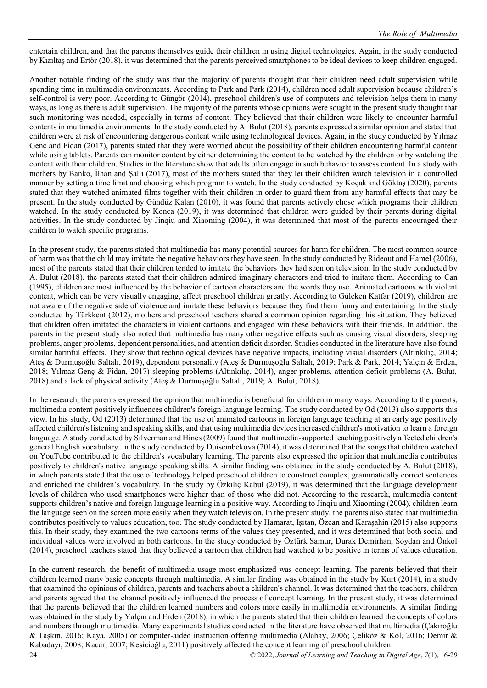entertain children, and that the parents themselves guide their children in using digital technologies. Again, in the study conducted by Kızıltaş and Ertör (2018), it was determined that the parents perceived smartphones to be ideal devices to keep children engaged.

Another notable finding of the study was that the majority of parents thought that their children need adult supervision while spending time in multimedia environments. According to Park and Park (2014), children need adult supervision because children's self-control is very poor. According to Güngör (2014), preschool children's use of computers and television helps them in many ways, as long as there is adult supervision. The majority of the parents whose opinions were sought in the present study thought that such monitoring was needed, especially in terms of content. They believed that their children were likely to encounter harmful contents in multimedia environments. In the study conducted by A. Bulut (2018), parents expressed a similar opinion and stated that children were at risk of encountering dangerous content while using technological devices. Again, in the study conducted by Yılmaz Genç and Fidan (2017), parents stated that they were worried about the possibility of their children encountering harmful content while using tablets. Parents can monitor content by either determining the content to be watched by the children or by watching the content with their children. Studies in the literature show that adults often engage in such behavior to assess content. In a study with mothers by Banko, İlhan and Şallı (2017), most of the mothers stated that they let their children watch television in a controlled manner by setting a time limit and choosing which program to watch. In the study conducted by Koçak and Göktaş (2020), parents stated that they watched animated films together with their children in order to guard them from any harmful effects that may be present. In the study conducted by Gündüz Kalan (2010), it was found that parents actively chose which programs their children watched. In the study conducted by Konca (2019), it was determined that children were guided by their parents during digital activities. In the study conducted by Jinqiu and Xiaoming (2004), it was determined that most of the parents encouraged their children to watch specific programs.

In the present study, the parents stated that multimedia has many potential sources for harm for children. The most common source of harm was that the child may imitate the negative behaviors they have seen. In the study conducted by Rideout and Hamel (2006), most of the parents stated that their children tended to imitate the behaviors they had seen on television. In the study conducted by A. Bulut (2018), the parents stated that their children admired imaginary characters and tried to imitate them. According to Can (1995), children are most influenced by the behavior of cartoon characters and the words they use. Animated cartoons with violent content, which can be very visually engaging, affect preschool children greatly. According to Güleken Katfar (2019), children are not aware of the negative side of violence and imitate these behaviors because they find them funny and entertaining. In the study conducted by Türkkent (2012), mothers and preschool teachers shared a common opinion regarding this situation. They believed that children often imitated the characters in violent cartoons and engaged win these behaviors with their friends. In addition, the parents in the present study also noted that multimedia has many other negative effects such as causing visual disorders, sleeping problems, anger problems, dependent personalities, and attention deficit disorder. Studies conducted in the literature have also found similar harmful effects. They show that technological devices have negative impacts, including visual disorders (Altınkılıç, 2014; Ateş & Durmuşoğlu Saltalı, 2019), dependent personality (Ateş & Durmuşoğlu Saltalı, 2019; Park & Park, 2014; Yalçın & Erden, 2018; Yılmaz Genç & Fidan, 2017) sleeping problems (Altınkılıç, 2014), anger problems, attention deficit problems (A. Bulut, 2018) and a lack of physical activity (Ateş & Durmuşoğlu Saltalı, 2019; A. Bulut, 2018).

In the research, the parents expressed the opinion that multimedia is beneficial for children in many ways. According to the parents, multimedia content positively influences children's foreign language learning. The study conducted by Od (2013) also supports this view. In his study, Od (2013) determined that the use of animated cartoons in foreign language teaching at an early age positively affected children's listening and speaking skills, and that using multimedia devices increased children's motivation to learn a foreign language. A study conducted by Silverman and Hines (2009) found that multimedia-supported teaching positively affected children's general English vocabulary. In the study conducted by Duisembekova (2014), it was determined that the songs that children watched on YouTube contributed to the children's vocabulary learning. The parents also expressed the opinion that multimedia contributes positively to children's native language speaking skills. A similar finding was obtained in the study conducted by A. Bulut (2018), in which parents stated that the use of technology helped preschool children to construct complex, grammatically correct sentences and enriched the children's vocabulary. In the study by Özkılıç Kabul (2019), it was determined that the language development levels of children who used smartphones were higher than of those who did not. According to the research, multimedia content supports children's native and foreign language learning in a positive way. According to Jinqiu and Xiaoming (2004), children learn the language seen on the screen more easily when they watch television. In the present study, the parents also stated that multimedia contributes positively to values education, too. The study conducted by Hamarat, Işıtan, Özcan and Karaşahin (2015) also supports this. In their study, they examined the two cartoons terms of the values they presented, and it was determined that both social and individual values were involved in both cartoons. In the study conducted by Öztürk Samur, Durak Demirhan, Soydan and Önkol (2014), preschool teachers stated that they believed a cartoon that children had watched to be positive in terms of values education.

24 © 2022, *Journal of Learning and Teaching in Digital Age*, *7*(1), 16-29 In the current research, the benefit of multimedia usage most emphasized was concept learning. The parents believed that their children learned many basic concepts through multimedia. A similar finding was obtained in the study by Kurt (2014), in a study that examined the opinions of children, parents and teachers about a children's channel. It was determined that the teachers, children and parents agreed that the channel positively influenced the process of concept learning. In the present study, it was determined that the parents believed that the children learned numbers and colors more easily in multimedia environments. A similar finding was obtained in the study by Yalçın and Erden (2018), in which the parents stated that their children learned the concepts of colors and numbers through multimedia. Many experimental studies conducted in the literature have observed that multimedia (Çakıroğlu & Taşkın, 2016; Kaya, 2005) or computer-aided instruction offering multimedia (Alabay, 2006; Çeliköz & Kol, 2016; Demir & Kabadayı, 2008; Kacar, 2007; Kesicioğlu, 2011) positively affected the concept learning of preschool children.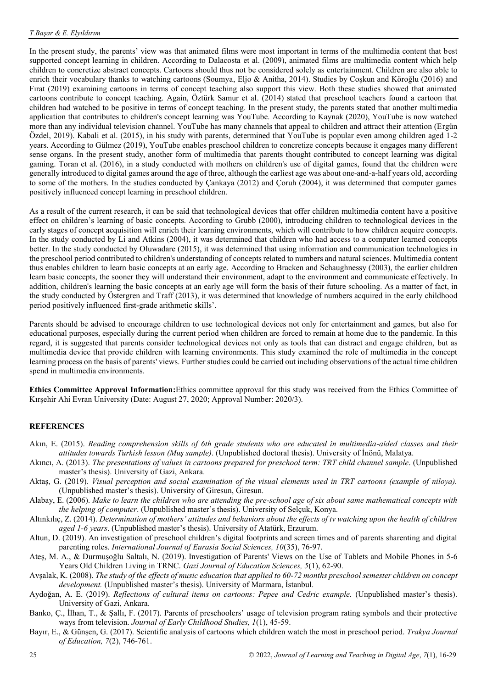In the present study, the parents' view was that animated films were most important in terms of the multimedia content that best supported concept learning in children. According to Dalacosta et al. (2009), animated films are multimedia content which help children to concretize abstract concepts. Cartoons should thus not be considered solely as entertainment. Children are also able to enrich their vocabulary thanks to watching cartoons (Soumya, Eljo & Anitha, 2014). Studies by Coşkun and Köroğlu (2016) and Fırat (2019) examining cartoons in terms of concept teaching also support this view. Both these studies showed that animated cartoons contribute to concept teaching. Again, Öztürk Samur et al. (2014) stated that preschool teachers found a cartoon that children had watched to be positive in terms of concept teaching. In the present study, the parents stated that another multimedia application that contributes to children's concept learning was YouTube. According to Kaynak (2020), YouTube is now watched more than any individual television channel. YouTube has many channels that appeal to children and attract their attention (Ergün Özdel, 2019). Kabali et al. (2015), in his study with parents, determined that YouTube is popular even among children aged 1-2 years. According to Gülmez (2019), YouTube enables preschool children to concretize concepts because it engages many different sense organs. In the present study, another form of multimedia that parents thought contributed to concept learning was digital gaming. Toran et al. (2016), in a study conducted with mothers on children's use of digital games, found that the children were generally introduced to digital games around the age of three, although the earliest age was about one-and-a-half years old, according to some of the mothers. In the studies conducted by Çankaya (2012) and Çoruh (2004), it was determined that computer games positively influenced concept learning in preschool children.

As a result of the current research, it can be said that technological devices that offer children multimedia content have a positive effect on children's learning of basic concepts. According to Grubb (2000), introducing children to technological devices in the early stages of concept acquisition will enrich their learning environments, which will contribute to how children acquire concepts. In the study conducted by Li and Atkins (2004), it was determined that children who had access to a computer learned concepts better. In the study conducted by Oluwadare (2015), it was determined that using information and communication technologies in the preschool period contributed to children's understanding of concepts related to numbers and natural sciences. Multimedia content thus enables children to learn basic concepts at an early age. According to Bracken and Schaughnessy (2003), the earlier children learn basic concepts, the sooner they will understand their environment, adapt to the environment and communicate effectively. In addition, children's learning the basic concepts at an early age will form the basis of their future schooling. As a matter of fact, in the study conducted by Östergren and Traff (2013), it was determined that knowledge of numbers acquired in the early childhood period positively influenced first-grade arithmetic skills'.

Parents should be advised to encourage children to use technological devices not only for entertainment and games, but also for educational purposes, especially during the current period when children are forced to remain at home due to the pandemic. In this regard, it is suggested that parents consider technological devices not only as tools that can distract and engage children, but as multimedia device that provide children with learning environments. This study examined the role of multimedia in the concept learning process on the basis of parents' views. Further studies could be carried out including observations of the actual time children spend in multimedia environments.

**Ethics Committee Approval Information:**Ethics committee approval for this study was received from the Ethics Committee of Kırşehir Ahi Evran University (Date: August 27, 2020; Approval Number: 2020/3).

#### **REFERENCES**

- Akın, E. (2015). *Reading comprehension skills of 6th grade students who are educated in multimedia-aided classes and their attitudes towards Turkish lesson (Muş sample)*. (Unpublished doctoral thesis). University of İnönü, Malatya.
- Akıncı, A. (2013). *The presentations of values in cartoons prepared for preschool term: TRT child channel sample*. (Unpublished master's thesis). University of Gazi, Ankara.
- Aktaş, G. (2019). *Visual perception and social examination of the visual elements used in TRT cartoons (example of niloya).* (Unpublished master's thesis). University of Giresun, Giresun.
- Alabay, E. (2006). *Make to learn the children who are attending the pre-school age of six about same mathematical concepts with the helping of computer*. (Unpublished master's thesis). University of Selçuk, Konya.
- Altınkılıç, Z. (2014). *Determination of mothers' attitudes and behaviors about the effects of tv watching upon the health of children aged 1-6 years*. (Unpublished master's thesis). University of Atatürk, Erzurum.
- Altun, D. (2019). An investigation of preschool children's digital footprints and screen times and of parents sharenting and digital parenting roles. *International Journal of Eurasia Social Sciences, 10*(35), 76-97.
- Ateş, M. A., & Durmuşoğlu Saltalı, N. (2019). Investigation of Parents' Views on the Use of Tablets and Mobile Phones in 5-6 Years Old Children Living in TRNC. *Gazi Journal of Education Sciences, 5*(1), 62-90.
- Avşalak, K. (2008). *The study of the effects of music education that applied to 60-72 months preschool semester children on concept development.* (Unpublished master's thesis). University of Marmara, İstanbul.
- Aydoğan, A. E. (2019). *Reflections of cultural items on cartoons: Pepee and Cedric example.* (Unpublished master's thesis). University of Gazi, Ankara.
- Banko, Ç., İlhan, T., & Şallı, F. (2017). Parents of preschoolers' usage of television program rating symbols and their protective ways from television. *Journal of Early Childhood Studies, 1*(1), 45-59.
- Bayır, E., & Günşen, G. (2017). Scientific analysis of cartoons which children watch the most in preschool period. *Trakya Journal of Education, 7*(2), 746-761.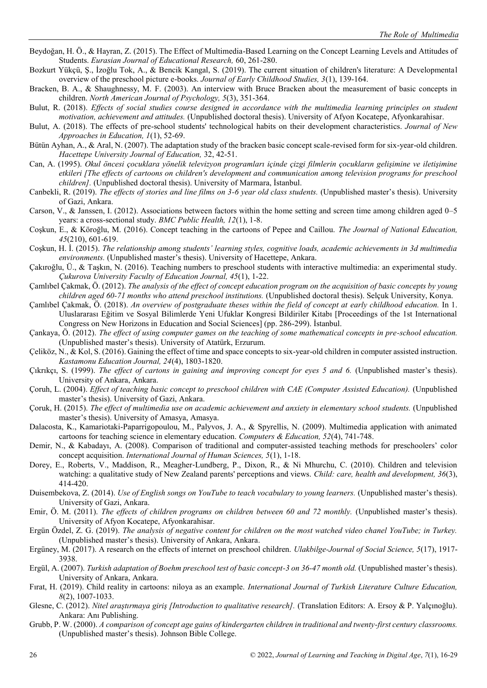- Beydoğan, H. Ö., & Hayran, Z. (2015). The Effect of Multimedia-Based Learning on the Concept Learning Levels and Attitudes of Students. *Eurasian Journal of Educational Research,* 60, 261-280.
- Bozkurt Yükçü, Ş., İzoğlu Tok, A., & Bencik Kangal, S. (2019). The current situation of children's literature: A Developmental overview of the preschool picture e-books. *Journal of Early Childhood Studies, 3*(1), 139-164.
- Bracken, B. A., & Shaughnessy, M. F. (2003). An interview with Bruce Bracken about the measurement of basic concepts in children. *North American Journal of Psychology, 5*(3), 351-364.
- Bulut, R. (2018). *Effects of social studies course designed in accordance with the multimedia learning principles on student motivation, achievement and attitudes.* (Unpublished doctoral thesis). University of Afyon Kocatepe, Afyonkarahisar.
- Bulut, A. (2018). The effects of pre-school students' technological habits on their development characteristics. *Journal of New Approaches in Education, 1*(1), 52-69.
- Bütün Ayhan, A., & Aral, N. (2007). The adaptation study of the bracken basic concept scale-revised form for six-year-old children. *Hacettepe University Journal of Education,* 32, 42-51.
- Can, A. (1995). *Okul öncesi çocuklara yönelik televizyon programları içinde çizgi filmlerin çocukların gelişimine ve iletişimine etkileri [The effects of cartoons on children's development and communication among television programs for preschool children].* (Unpublished doctoral thesis). University of Marmara, İstanbul.
- Canbekli, R. (2019). *The effects of stories and line films on 3-6 year old class students.* (Unpublished master's thesis). University of Gazi, Ankara.
- Carson, V., & Janssen, I. (2012). Associations between factors within the home setting and screen time among children aged 0–5 years: a cross-sectional study. *BMC Public Health, 12*(1), 1-8.
- Coşkun, E., & Köroğlu, M. (2016). Concept teaching in the cartoons of Pepee and Caillou. *The Journal of National Education, 45*(210), 601-619.
- Coşkun, H. İ. (2015). *The relationship among students' learning styles, cognitive loads, academic achievements in 3d multimedia environments.* (Unpublished master's thesis). University of Hacettepe, Ankara.
- Çakıroğlu, Ü., & Taşkın, N. (2016). Teaching numbers to preschool students with interactive multimedia: an experimental study. *Çukurova University Faculty of Education Journal, 45*(1), 1-22.
- Çamlıbel Çakmak, Ö. (2012). *The analysis of the effect of concept education program on the acquisition of basic concepts by young children aged 60-71 months who attend preschool institutions.* (Unpublished doctoral thesis). Selçuk University, Konya.
- Çamlıbel Çakmak, Ö. (2018). *An overview of postgraduate theses within the field of concept at early childhood education.* In 1. Uluslararası Eğitim ve Sosyal Bilimlerde Yeni Ufuklar Kongresi Bildiriler Kitabı [Proceedings of the 1st International Congress on New Horizons in Education and Social Sciences] (pp. 286-299). İstanbul.
- Çankaya, Ö. (2012). *The effect of using computer games on the teaching of some mathematical concepts in pre-school education.* (Unpublished master's thesis). University of Atatürk, Erzurum.
- Çeliköz, N., & Kol, S. (2016). Gaining the effect of time and space concepts to six-year-old children in computer assisted instruction. *Kastamonu Education Journal, 24*(4), 1803-1820.
- Çıkrıkçı, S. (1999). *The effect of cartons in gaining and improving concept for eyes 5 and 6.* (Unpublished master's thesis). University of Ankara, Ankara.
- Çoruh, L. (2004). *Effect of teaching basic concept to preschool children with CAE (Computer Assisted Education).* (Unpublished master's thesis). University of Gazi, Ankara.
- Çoruk, H. (2015). *The effect of multimedia use on academic achievement and anxiety in elementary school students.* (Unpublished master's thesis). University of Amasya, Amasya.
- Dalacosta, K., Kamariotaki-Paparrigopoulou, M., Palyvos, J. A., & Spyrellis, N. (2009). Multimedia application with animated cartoons for teaching science in elementary education. *Computers & Education, 52*(4), 741-748.
- Demir, N., & Kabadayı, A. (2008). Comparison of traditional and computer-assisted teaching methods for preschoolers' color concept acquisition. *International Journal of Human Sciences, 5*(1), 1-18.
- Dorey, E., Roberts, V., Maddison, R., Meagher-Lundberg, P., Dixon, R., & Ni Mhurchu, C. (2010). Children and television watching: a qualitative study of New Zealand parents' perceptions and views. *Child: care, health and development, 36*(3), 414-420.
- Duisembekova, Z. (2014). *Use of English songs on YouTube to teach vocabulary to young learners.* (Unpublished master's thesis). University of Gazi, Ankara.
- Emir, Ö. M. (2011). *The effects of children programs on children between 60 and 72 monthly.* (Unpublished master's thesis). University of Afyon Kocatepe, Afyonkarahisar.
- Ergün Özdel, Z. G. (2019). *The analysis of negative content for children on the most watched video chanel YouTube; in Turkey.* (Unpublished master's thesis). University of Ankara, Ankara.
- Ergüney, M. (2017). A research on the effects of internet on preschool children. *Ulakbilge-Journal of Social Science, 5*(17), 1917- 3938.
- Ergül, A. (2007). *Turkish adaptation of Boehm preschool test of basic concept-3 on 36-47 month old.* (Unpublished master's thesis). University of Ankara, Ankara.
- Fırat, H. (2019). Child reality in cartoons: niloya as an example. *International Journal of Turkish Literature Culture Education, 8*(2), 1007-1033.
- Glesne, C. (2012). *Nitel araştırmaya giriş [Introduction to qualitative research].* (Translation Editors: A. Ersoy & P. Yalçınoğlu). Ankara: Anı Publishing.
- Grubb, P. W. (2000). *A comparison of concept age gains of kindergarten children in traditional and twenty-first century classrooms.* (Unpublished master's thesis). Johnson Bible College.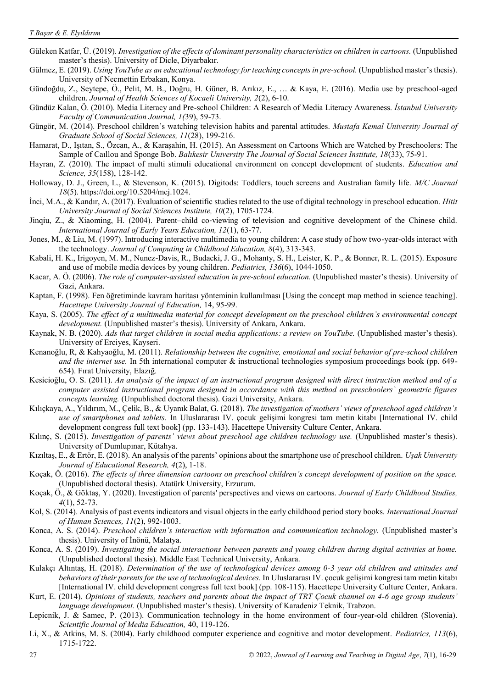- Güleken Katfar, Ü. (2019). *Investigation of the effects of dominant personality characteristics on children in cartoons.* (Unpublished master's thesis). University of Dicle, Diyarbakır.
- Gülmez, E. (2019). *Using YouTube as an educational technology for teaching concepts in pre-school.* (Unpublished master's thesis). University of Necmettin Erbakan, Konya.
- Gündoğdu, Z., Seytepe, Ö., Pelit, M. B., Doğru, H. Güner, B. Arıkız, E., … & Kaya, E. (2016). Media use by preschool-aged children. *Journal of Health Sciences of Kocaeli University, 2*(2), 6-10.
- Gündüz Kalan, Ö. (2010). Media Literacy and Pre-school Children: A Research of Media Literacy Awareness. *İstanbul University Faculty of Communication Journal, 1(*39), 59-73.
- Güngör, M. (2014). Preschool children's watching television habits and parental attitudes. *Mustafa Kemal University Journal of Graduate School of Social Sciences, 11*(28), 199-216.
- Hamarat, D., Işıtan, S., Özcan, A., & Karaşahin, H. (2015). An Assessment on Cartoons Which are Watched by Preschoolers: The Sample of Caıllou and Sponge Bob. *Balıkesir University The Journal of Social Sciences Institute, 18*(33), 75-91.
- Hayran, Z. (2010). The impact of multi stimuli educational environment on concept development of students. *Education and Science, 35*(158), 128-142.
- Holloway, D. J., Green, L., & Stevenson, K. (2015). Digitods: Toddlers, touch screens and Australian family life. *M/C Journal 18*(5). https://doi.org/10.5204/mcj.1024.
- İnci, M.A., & Kandır, A. (2017). Evaluation of scientific studies related to the use of digital technology in preschool education. *Hitit University Journal of Social Sciences Institute, 10*(2), 1705-1724.
- Jinqiu, Z., & Xiaoming, H. (2004). Parent–child co-viewing of television and cognitive development of the Chinese child. *International Journal of Early Years Education, 12*(1), 63-77.
- Jones, M., & Liu, M. (1997). Introducing interactive multimedia to young children: A case study of how two-year-olds interact with the technology. *Journal of Computing in Childhood Education, 8*(4), 313-343.
- Kabali, H. K., Irigoyen, M. M., Nunez-Davis, R., Budacki, J. G., Mohanty, S. H., Leister, K. P., & Bonner, R. L. (2015). Exposure and use of mobile media devices by young children. *Pediatrics, 136*(6), 1044-1050.
- Kacar, A. Ö. (2006). *The role of computer-assisted education in pre-school education.* (Unpublished master's thesis). University of Gazi, Ankara.
- Kaptan, F. (1998). Fen öğretiminde kavram haritası yönteminin kullanılması [Using the concept map method in science teaching]. *Hacettepe University Journal of Education,* 14, 95-99.
- Kaya, S. (2005). *The effect of a multimedia material for concept development on the preschool children's environmental concept development.* (Unpublished master's thesis). University of Ankara, Ankara.
- Kaynak, N. B. (2020). *Ads that target children in social media applications: a review on YouTube*. (Unpublished master's thesis). University of Erciyes, Kayseri.
- Kenanoğlu, R, & Kahyaoğlu, M. (2011). *Relationship between the cognitive, emotional and social behavior of pre-school children and the internet use.* In 5th international computer & instructional technologies symposium proceedings book (pp. 649- 654). Fırat University, Elazığ.
- Kesicioğlu, O. S. (2011). *An analysis of the impact of an instructional program designed with direct instruction method and of a computer assisted instructional program designed in accordance with this method on preschoolers` geometric figures concepts learning.* (Unpublished doctoral thesis). Gazi University, Ankara.
- Kılıçkaya, A., Yıldırım, M., Çelik, B., & Uyanık Balat, G. (2018). *The investigation of mothers' views of preschool aged children's use of smartphones and tablets.* In Uluslararası IV. çocuk gelişimi kongresi tam metin kitabı [International IV. child development congress full text book] (pp. 133-143). Hacettepe University Culture Center, Ankara.
- Kılınç, S. (2015). *Investigation of parents' views about preschool age children technology use.* (Unpublished master's thesis). University of Dumlupınar, Kütahya.
- Kızıltaş, E., & Ertör, E. (2018). An analysis of the parents' opinions about the smartphone use of preschool children. *Uşak University Journal of Educational Research, 4*(2), 1-18.
- Koçak, Ö. (2016). *The effects of three dimension cartoons on preschool children's concept development of position on the space.* (Unpublished doctoral thesis). Atatürk University, Erzurum.
- Koçak, Ö., & Göktaş, Y. (2020). Investigation of parents' perspectives and views on cartoons. *Journal of Early Childhood Studies, 4*(1), 52-73.
- Kol, S. (2014). Analysis of past events indicators and visual objects in the early childhood period story books. *International Journal of Human Sciences, 11*(2), 992-1003.
- Konca, A. S. (2014). *Preschool children's interaction with information and communication technology.* (Unpublished master's thesis). University of İnönü, Malatya.
- Konca, A. S. (2019). *Investigating the social interactions between parents and young children during digital activities at home.* (Unpublished doctoral thesis). Middle East Technical University, Ankara.
- Kulakçı Altıntaş, H. (2018). *Determination of the use of technological devices among 0-3 year old children and attitudes and behaviors of their parents for the use of technological devices.* In Uluslararası IV. çocuk gelişimi kongresi tam metin kitabı [International IV. child development congress full text book] (pp. 108-115). Hacettepe University Culture Center, Ankara.
- Kurt, E. (2014). *Opinions of students, teachers and parents about the impact of TRT Çocuk channel on 4-6 age group students' language development.* (Unpublished master's thesis). University of Karadeniz Teknik, Trabzon.
- Lepicnik, J. & Samec, P. (2013). Communication technology in the home environment of four-year-old children (Slovenia). *Scientific Journal of Media Education,* 40, 119-126.
- Li, X., & Atkins, M. S. (2004). Early childhood computer experience and cognitive and motor development. *Pediatrics, 113*(6), 1715-1722.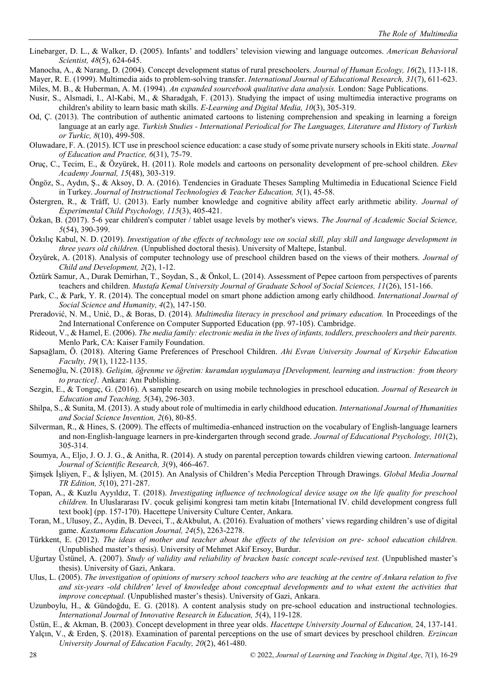Linebarger, D. L., & Walker, D. (2005). Infants' and toddlers' television viewing and language outcomes. *American Behavioral Scientist, 48*(5), 624-645.

Manocha, A., & Narang, D. (2004). Concept development status of rural preschoolers. *Journal of Human Ecology, 16*(2), 113-118.

Mayer, R. E. (1999). Multimedia aids to problem-solving transfer. *International Journal of Educational Research, 31*(7), 611-623.

Miles, M. B., & Huberman, A. M. (1994). *An expanded sourcebook qualitative data analysis.* London: Sage Publications.

- Nusir, S., Alsmadi, I., Al-Kabi, M., & Sharadgah, F. (2013). Studying the impact of using multimedia interactive programs on children's ability to learn basic math skills. *E-Learning and Digital Media, 10*(3), 305-319.
- Od, Ç. (2013). The contribution of authentic animated cartoons to listening comprehension and speaking in learning a foreign language at an early age. *Turkish Studies - International Periodical for The Languages, Literature and History of Turkish or Turkic, 8*(10), 499-508.
- Oluwadare, F. A. (2015). ICT use in preschool science education: a case study of some private nursery schools in Ekiti state. *Journal of Education and Practice, 6*(31), 75-79.
- Oruç, C., Tecim, E., & Özyürek, H. (2011). Role models and cartoons on personality development of pre-school children. *Ekev Academy Journal, 15*(48), 303-319.
- Öngöz, S., Aydın, Ş., & Aksoy, D. A. (2016). Tendencies in Graduate Theses Sampling Multimedia in Educational Science Field in Turkey. *Journal of Instructional Technologies & Teacher Education, 5*(1), 45-58.
- Östergren, R., & Träff, U. (2013). Early number knowledge and cognitive ability affect early arithmetic ability. *Journal of Experimental Child Psychology, 115*(3), 405-421.
- Özkan, B. (2017). 5-6 year children's computer / tablet usage levels by mother's views. *The Journal of Academic Social Science, 5*(54), 390-399.
- Özkılıç Kabul, N. D. (2019). *Investigation of the effects of technology use on social skill, play skill and language development in three years old children.* (Unpublished doctoral thesis). University of Maltepe, İstanbul.
- Özyürek, A. (2018). Analysis of computer technology use of preschool children based on the views of their mothers. *Journal of Child and Development, 2*(2), 1-12.
- Öztürk Samur, A., Durak Demirhan, T., Soydan, S., & Önkol, L. (2014). Assessment of Pepee cartoon from perspectives of parents teachers and children. *Mustafa Kemal University Journal of Graduate School of Social Sciences, 11*(26), 151-166.
- Park, C., & Park, Y. R. (2014). The conceptual model on smart phone addiction among early childhood. *International Journal of Social Science and Humanity, 4*(2), 147-150.
- Preradović, N. M., Unić, D., & Boras, D. (2014). *Multimedia literacy in preschool and primary education.* In Proceedings of the 2nd International Conference on Computer Supported Education (pp. 97-105). Cambridge.
- Rideout, V., & Hamel, E. (2006). *The media family: electronic media in the lives of infants, toddlers, preschoolers and their parents.* Menlo Park, CA: Kaiser Family Foundation.
- Sapsağlam, Ö. (2018). Altering Game Preferences of Preschool Children. *Ahi Evran University Journal of Kırşehir Education Faculty, 19*(1), 1122-1135.
- Senemoğlu, N. (2018). *Gelişim, öğrenme ve öğretim: kuramdan uygulamaya [Development, learning and instruction: from theory to practice].* Ankara: Anı Publishing.
- Sezgin, E., & Tonguç, G. (2016). A sample research on using mobile technologies in preschool education. *Journal of Research in Education and Teaching, 5*(34), 296-303.
- Shilpa, S., & Sunita, M. (2013). A study about role of multimedia in early childhood education. *International Journal of Humanities and Social Science Invention, 2*(6), 80-85.
- Silverman, R., & Hines, S. (2009). The effects of multimedia-enhanced instruction on the vocabulary of English-language learners and non-English-language learners in pre-kindergarten through second grade. *Journal of Educational Psychology, 101*(2), 305-314.
- Soumya, A., Eljo, J. O. J. G., & Anitha, R. (2014). A study on parental perception towards children viewing cartoon. *International Journal of Scientific Research, 3*(9), 466-467.
- Şimşek İşliyen, F., & İşliyen, M. (2015). An Analysis of Children's Media Perception Through Drawings. *Global Media Journal TR Edition, 5*(10), 271-287.
- Topan, A., & Kuzlu Ayyıldız, T. (2018). *Investigating influence of technological device usage on the life quality for preschool children.* In Uluslararası IV. çocuk gelişimi kongresi tam metin kitabı [International IV. child development congress full text book] (pp. 157-170). Hacettepe University Culture Center, Ankara.
- Toran, M., Ulusoy, Z., Aydin, B. Deveci, T., &Akbulut, A. (2016). Evaluation of mothers' views regarding children's use of digital game. *Kastamonu Education Journal, 24*(5), 2263-2278.
- Türkkent, E. (2012). *The ideas of mother and teacher about the effects of the television on pre- school education children.* (Unpublished master's thesis). University of Mehmet Akif Ersoy, Burdur.
- Uğurtay Üstünel, A. (2007). *Study of validity and reliability of bracken basic concept scale-revised test.* (Unpublished master's thesis). University of Gazi, Ankara.
- Ulus, L. (2005). *The investigation of opinions of nursery school teachers who are teaching at the centre of Ankara relation to five and six-years -old children' level of knowledge about conceptual developments and to what extent the activities that improve conceptual.* (Unpublished master's thesis). University of Gazi, Ankara.
- Uzunboylu, H., & Gündoğdu, E. G. (2018). A content analysis study on pre-school education and instructional technologies. *International Journal of Innovative Research in Education, 5*(4), 119-128.
- Üstün, E., & Akman, B. (2003). Concept development in three year olds. *Hacettepe University Journal of Education,* 24, 137-141. Yalçın, V., & Erden, Ş. (2018). Examination of parental perceptions on the use of smart devices by preschool children. *Erzincan University Journal of Education Faculty, 20*(2), 461-480.